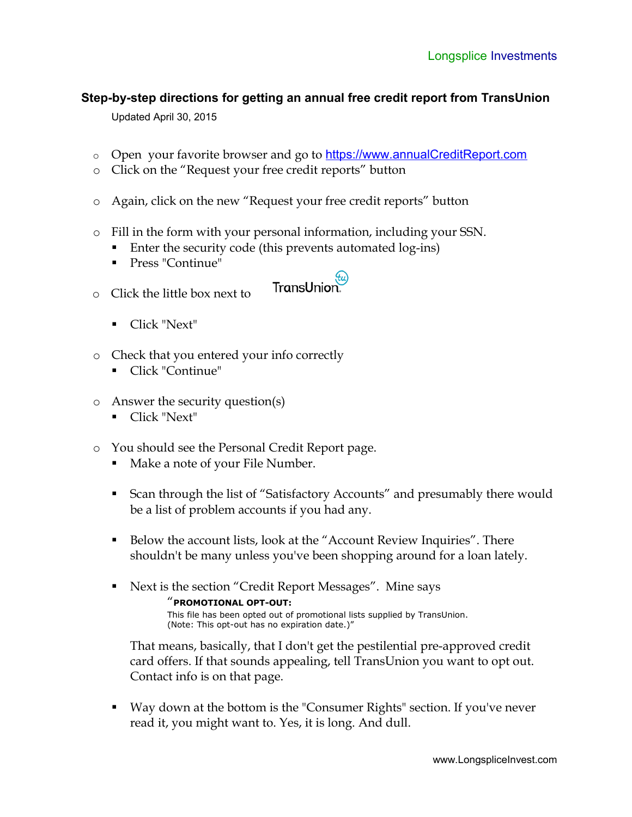## **Step-by-step directions for getting an annual free credit report from TransUnion**

Updated April 30, 2015

- o Open your favorite browser and go to [https://www.annualCreditReport.com](https://www.annualCreditReport.com/)
- o Click on the "Request your free credit reports" button
- o Again, click on the new "Request your free credit reports" button
- o Fill in the form with your personal information, including your SSN.
	- Enter the security code (this prevents automated log-ins)
	- Press "Continue"
- TransUnion. o Click the little box next to
	- Click "Next"
- o Check that you entered your info correctly
	- Click "Continue"
- o Answer the security question(s)
	- Click "Next"
- o You should see the Personal Credit Report page.
	- Make a note of your File Number.
	- Scan through the list of "Satisfactory Accounts" and presumably there would be a list of problem accounts if you had any.
	- Below the account lists, look at the "Account Review Inquiries". There shouldn't be many unless you've been shopping around for a loan lately.
	- Next is the section "Credit Report Messages". Mine says "**PROMOTIONAL OPT-OUT:** This file has been opted out of promotional lists supplied by TransUnion. (Note: This opt-out has no expiration date.)"

That means, basically, that I don't get the pestilential pre-approved credit card offers. If that sounds appealing, tell TransUnion you want to opt out. Contact info is on that page.

 Way down at the bottom is the "Consumer Rights" section. If you've never read it, you might want to. Yes, it is long. And dull.